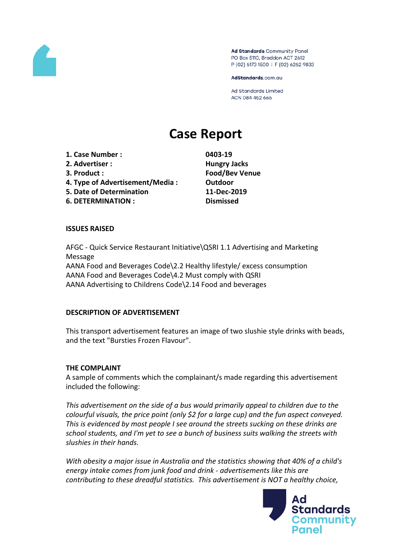

Ad Standards Community Panel PO Box 5110, Braddon ACT 2612 P (02) 6173 1500 | F (02) 6262 9833

AdStandards.com.au

**Ad Standards Limited** ACN 084 452 666

# **Case Report**

- **1. Case Number : 0403-19**
- **2. Advertiser : Hungry Jacks**
- 
- **4. Type of Advertisement/Media : Outdoor**
- **5. Date of Determination 11-Dec-2019**
- **6. DETERMINATION : Dismissed**

**3. Product : Food/Bev Venue**

### **ISSUES RAISED**

AFGC - Quick Service Restaurant Initiative\QSRI 1.1 Advertising and Marketing Message AANA Food and Beverages Code\2.2 Healthy lifestyle/ excess consumption AANA Food and Beverages Code\4.2 Must comply with QSRI AANA Advertising to Childrens Code\2.14 Food and beverages

# **DESCRIPTION OF ADVERTISEMENT**

This transport advertisement features an image of two slushie style drinks with beads, and the text "Bursties Frozen Flavour".

# **THE COMPLAINT**

A sample of comments which the complainant/s made regarding this advertisement included the following:

*This advertisement on the side of a bus would primarily appeal to children due to the colourful visuals, the price point (only \$2 for a large cup) and the fun aspect conveyed. This is evidenced by most people I see around the streets sucking on these drinks are school students, and I'm yet to see a bunch of business suits walking the streets with slushies in their hands.* 

*With obesity a major issue in Australia and the statistics showing that 40% of a child's energy intake comes from junk food and drink - advertisements like this are contributing to these dreadful statistics. This advertisement is NOT a healthy choice,*

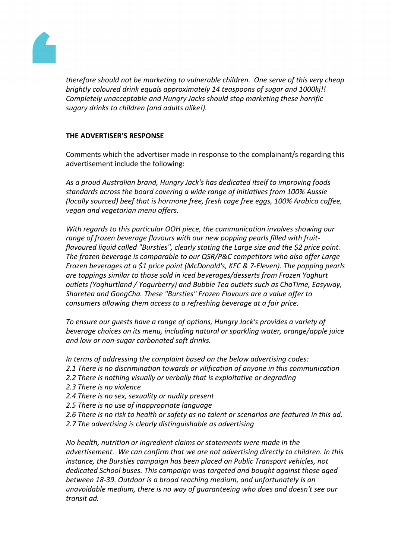

*therefore should not be marketing to vulnerable children. One serve of this very cheap brightly coloured drink equals approximately 14 teaspoons of sugar and 1000kj!! Completely unacceptable and Hungry Jacks should stop marketing these horrific sugary drinks to children (and adults alike!).*

### **THE ADVERTISER'S RESPONSE**

Comments which the advertiser made in response to the complainant/s regarding this advertisement include the following:

*As a proud Australian brand, Hungry Jack's has dedicated itself to improving foods standards across the board covering a wide range of initiatives from 100% Aussie (locally sourced) beef that is hormone free, fresh cage free eggs, 100% Arabica coffee, vegan and vegetarian menu offers.* 

*With regards to this particular OOH piece, the communication involves showing our range of frozen beverage flavours with our new popping pearls filled with fruitflavoured liquid called "Bursties", clearly stating the Large size and the \$2 price point. The frozen beverage is comparable to our QSR/P&C competitors who also offer Large Frozen beverages at a \$1 price point (McDonald's, KFC & 7-Eleven). The popping pearls are toppings similar to those sold in iced beverages/desserts from Frozen Yoghurt outlets (Yoghurtland / Yogurberry) and Bubble Tea outlets such as ChaTime, Easyway, Sharetea and GongCha. These "Bursties" Frozen Flavours are a value offer to consumers allowing them access to a refreshing beverage at a fair price.* 

*To ensure our guests have a range of options, Hungry Jack's provides a variety of beverage choices on its menu, including natural or sparkling water, orange/apple juice and low or non-sugar carbonated soft drinks.* 

*In terms of addressing the complaint based on the below advertising codes:* 

- *2.1 There is no discrimination towards or vilification of anyone in this communication*
- *2.2 There is nothing visually or verbally that is exploitative or degrading*
- *2.3 There is no violence*
- *2.4 There is no sex, sexuality or nudity present*
- *2.5 There is no use of inappropriate language*
- *2.6 There is no risk to health or safety as no talent or scenarios are featured in this ad.*
- *2.7 The advertising is clearly distinguishable as advertising*

*No health, nutrition or ingredient claims or statements were made in the advertisement. We can confirm that we are not advertising directly to children. In this instance, the Bursties campaign has been placed on Public Transport vehicles, not dedicated School buses. This campaign was targeted and bought against those aged between 18-39. Outdoor is a broad reaching medium, and unfortunately is an unavoidable medium, there is no way of guaranteeing who does and doesn't see our transit ad.*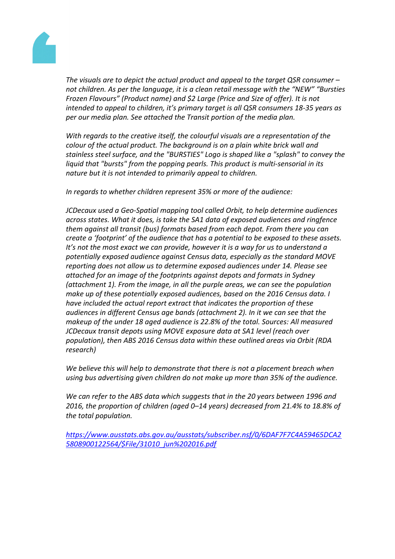Thevisualsare to depict the actual productind appeal to the target  $\textsf{QSR}$  on sumer – not children. Asper thelanguage, it isa cleanretail messagewith the "NEW" "Bursties Frozen Flavours Product name) and \$2arge (Priceand Size of free). It is not intendedto appealto children, it's primartarget is all QSR consumers 8-35 years as per our mediaplan. See attached the Transit portion of the diaplan.

With regardsto the creative itself, theolourful visuals are representation of he colourof the actual product. The background a plainwhite brick walland stainless steel surfacend the "BURSTIES" Logo is shaikeda "splash"to conveythe liquid that "bursts" from the popping pearls. This product is multi-sensorial nits naturebut it is notintendedto primarily appeal tochildren.

In regards towhetherchildren represen \$5% or more f the audience:

JCDecaux used Geo-Spatial mappint to la deledOrbit, to helpdetermine audiences across states.What it does is take the SA1 data of expose daudiences and ingfence them against all transitbus) formats based from eadepot. From thereyou can create a 'footprint' of the audience that has apotential to be exposed othe seassets. It's not the most exact we can provide, however is away for us tounderstanda potentiallyexposedaudience against Censdata, especiall as the standard MOVE reporting does not allow usto determine exposed audiences und or Please see attachedfor an imageof the footprints against depotsandformats inSydney (attachment 1). Fronthe image, inall the purple areas, we case the population makeup of thesepotentially exposed audiences, based to 2016 Census data. I have included theactual report extracthat indicatesthe proportion of these audiences in different Censusage bands (attachment). In itwe canseethat the makeup of the under 18 aged audiences 22.8% of the total. Sources All measured JCDecaux transitepots using MOVExposure data a SA1 level (reach over population), thenABS2016Census data withitheseoutlined areasvia Orbit (RDA research)

We believethis will helpto demonstrate that there is not placement preachwhen using busadvertising given children do not make up more than 85% be audience.

We canrefer to the ABS datawhich suggests that ithe 20 years between 996 and 2016, the proportion of children (aged-14 years)decreased rom 21.4% to 18.8% of the total population.

[https://www.ausstats.abs.gov.au/ausstats/subscriber.nsf/0/6DAF7F7C4A59465](https://www.ausstats.abs.gov.au/ausstats/subscriber.nsf/0/6DAF7F7C4A59465DCA25808900122564/$File/31010_jun%202016.pdf)DCA2 [5808900122564/\\$File/31010\\_jun%202016.](https://www.ausstats.abs.gov.au/ausstats/subscriber.nsf/0/6DAF7F7C4A59465DCA25808900122564/$File/31010_jun%202016.pdf)pdf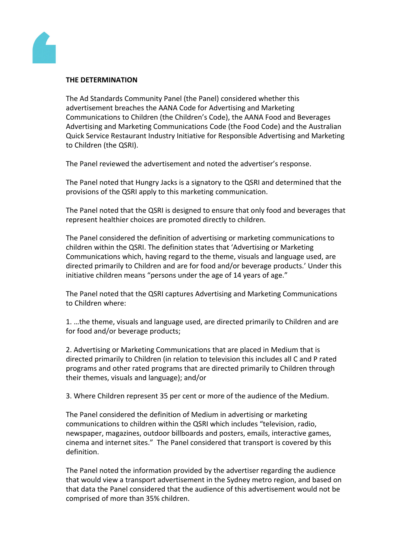

#### **THE DETERMINATION**

The Ad Standards Community Panel (the Panel) considered whether this advertisement breaches the AANA Code for Advertising and Marketing Communications to Children (the Children's Code), the AANA Food and Beverages Advertising and Marketing Communications Code (the Food Code) and the Australian Quick Service Restaurant Industry Initiative for Responsible Advertising and Marketing to Children (the QSRI).

The Panel reviewed the advertisement and noted the advertiser's response.

The Panel noted that Hungry Jacks is a signatory to the QSRI and determined that the provisions of the QSRI apply to this marketing communication.

The Panel noted that the QSRI is designed to ensure that only food and beverages that represent healthier choices are promoted directly to children.

The Panel considered the definition of advertising or marketing communications to children within the QSRI. The definition states that 'Advertising or Marketing Communications which, having regard to the theme, visuals and language used, are directed primarily to Children and are for food and/or beverage products.' Under this initiative children means "persons under the age of 14 years of age."

The Panel noted that the QSRI captures Advertising and Marketing Communications to Children where:

1. …the theme, visuals and language used, are directed primarily to Children and are for food and/or beverage products;

2. Advertising or Marketing Communications that are placed in Medium that is directed primarily to Children (in relation to television this includes all C and P rated programs and other rated programs that are directed primarily to Children through their themes, visuals and language); and/or

3. Where Children represent 35 per cent or more of the audience of the Medium.

The Panel considered the definition of Medium in advertising or marketing communications to children within the QSRI which includes "television, radio, newspaper, magazines, outdoor billboards and posters, emails, interactive games, cinema and internet sites." The Panel considered that transport is covered by this definition.

The Panel noted the information provided by the advertiser regarding the audience that would view a transport advertisement in the Sydney metro region, and based on that data the Panel considered that the audience of this advertisement would not be comprised of more than 35% children.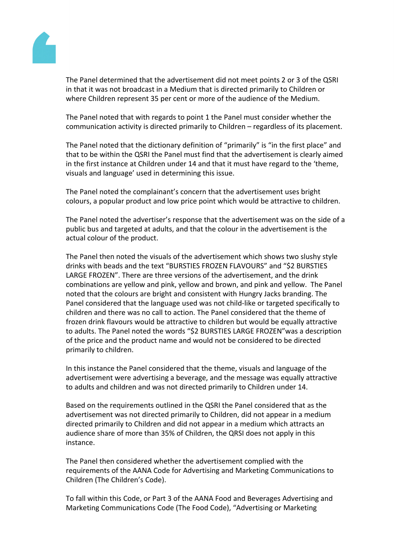

The Panel determined that the advertisement did not meet points 2 or 3 of the QSRI in that it was not broadcast in a Medium that is directed primarily to Children or where Children represent 35 per cent or more of the audience of the Medium.

The Panel noted that with regards to point 1 the Panel must consider whether the communication activity is directed primarily to Children – regardless of its placement.

The Panel noted that the dictionary definition of "primarily" is "in the first place" and that to be within the QSRI the Panel must find that the advertisement is clearly aimed in the first instance at Children under 14 and that it must have regard to the 'theme, visuals and language' used in determining this issue.

The Panel noted the complainant's concern that the advertisement uses bright colours, a popular product and low price point which would be attractive to children.

The Panel noted the advertiser's response that the advertisement was on the side of a public bus and targeted at adults, and that the colour in the advertisement is the actual colour of the product.

The Panel then noted the visuals of the advertisement which shows two slushy style drinks with beads and the text "BURSTIES FROZEN FLAVOURS" and "\$2 BURSTIES LARGE FROZEN". There are three versions of the advertisement, and the drink combinations are yellow and pink, yellow and brown, and pink and yellow. The Panel noted that the colours are bright and consistent with Hungry Jacks branding. The Panel considered that the language used was not child-like or targeted specifically to children and there was no call to action. The Panel considered that the theme of frozen drink flavours would be attractive to children but would be equally attractive to adults. The Panel noted the words "\$2 BURSTIES LARGE FROZEN"was a description of the price and the product name and would not be considered to be directed primarily to children.

In this instance the Panel considered that the theme, visuals and language of the advertisement were advertising a beverage, and the message was equally attractive to adults and children and was not directed primarily to Children under 14.

Based on the requirements outlined in the QSRI the Panel considered that as the advertisement was not directed primarily to Children, did not appear in a medium directed primarily to Children and did not appear in a medium which attracts an audience share of more than 35% of Children, the QRSI does not apply in this instance.

The Panel then considered whether the advertisement complied with the requirements of the AANA Code for Advertising and Marketing Communications to Children (The Children's Code).

To fall within this Code, or Part 3 of the AANA Food and Beverages Advertising and Marketing Communications Code (The Food Code), "Advertising or Marketing